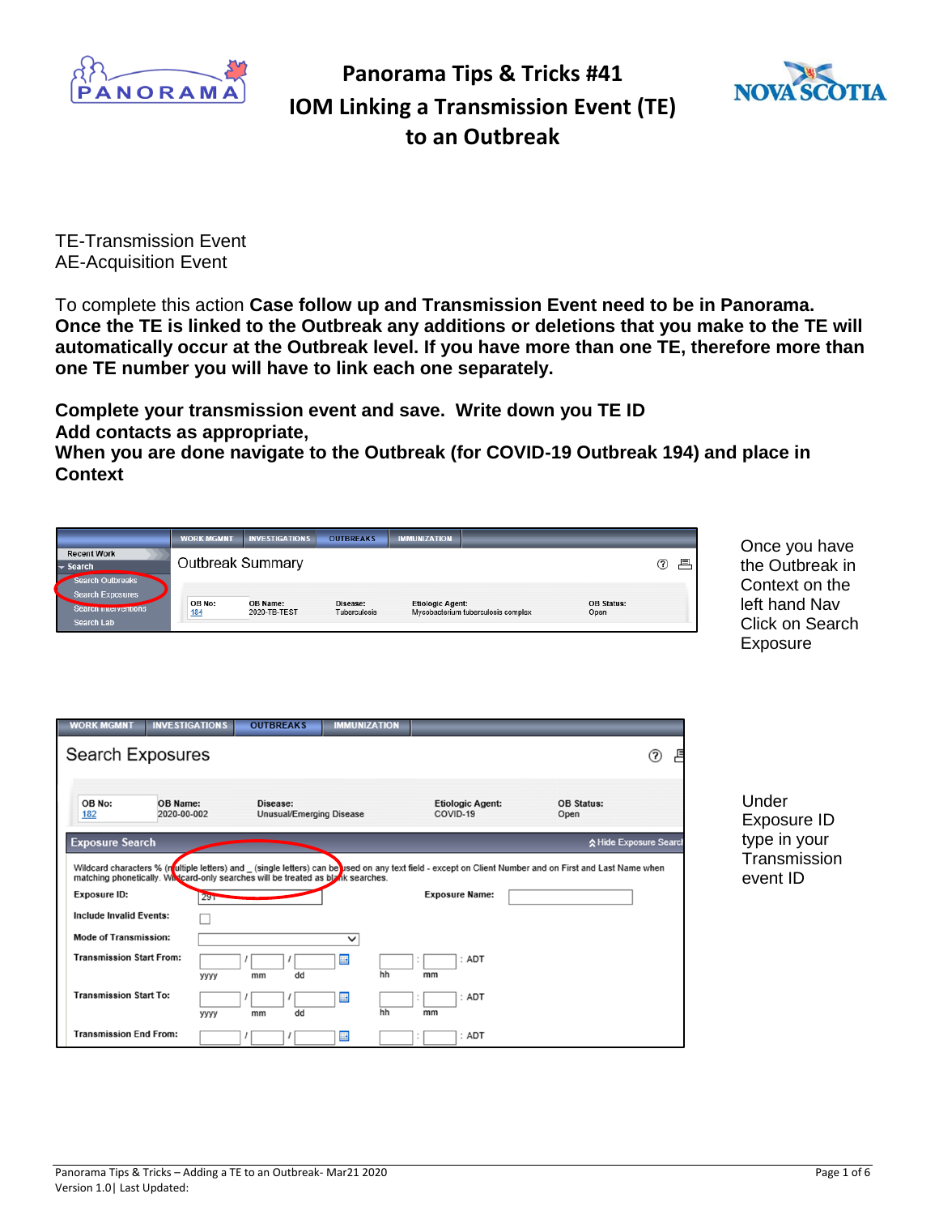



TE-Transmission Event AE-Acquisition Event

To complete this action **Case follow up and Transmission Event need to be in Panorama. Once the TE is linked to the Outbreak any additions or deletions that you make to the TE will automatically occur at the Outbreak level. If you have more than one TE, therefore more than one TE number you will have to link each one separately.**

**Complete your transmission event and save. Write down you TE ID Add contacts as appropriate,** 

**When you are done navigate to the Outbreak (for COVID-19 Outbreak 194) and place in Context**

|                                                                                                        | <b>WORK MGMNT</b><br><b>INVESTIGATIONS</b> | <b>OUTBREAKS</b>                | <b>IMMUNIZATION</b>                                           |                                                                                                                                                                                   |                  | Once you have                                                  |
|--------------------------------------------------------------------------------------------------------|--------------------------------------------|---------------------------------|---------------------------------------------------------------|-----------------------------------------------------------------------------------------------------------------------------------------------------------------------------------|------------------|----------------------------------------------------------------|
| <b>Recent Work</b><br><b>Search</b>                                                                    | Outbreak Summary                           |                                 |                                                               |                                                                                                                                                                                   | (2)<br>昌         | the Outbreak in                                                |
| <b>Search Outbreaks</b><br><b>Search Exposures</b><br>Search mierventions<br>Search Lab                | OB No:<br>OB Name:<br>2020-TB-TEST<br>184  | Disease:<br>Tuberculosis        | <b>Etiologic Agent:</b><br>Mycobacterium tuberculosis complex | <b>OB Status:</b><br>Open                                                                                                                                                         |                  | Context on the<br>left hand Nav<br>Click on Search<br>Exposure |
| <b>WORK MGMNT</b><br><b>INVESTIGATIONS</b><br><b>Search Exposures</b>                                  | <b>OUTBREAKS</b>                           | <b>IMMUNIZATION</b>             |                                                               |                                                                                                                                                                                   | $\circledR$<br>ٵ |                                                                |
| OB No:<br>OB Name:<br>2020-00-002<br>182                                                               | Disease:                                   | <b>Unusual/Emerging Disease</b> | <b>Etiologic Agent:</b><br>COVID-19                           | <b>OB Status:</b><br>Open                                                                                                                                                         |                  | Under<br>Exposure ID                                           |
| <b>Exposure Search</b>                                                                                 |                                            |                                 |                                                               | ☆ Hide Exposure Search<br>Wildcard characters % (nultiple letters) and _ (single letters) can be used on any text field - except on Client Number and on First and Last Name when |                  | type in your<br>Transmission                                   |
| matching phonetically. Whicard-only searches will be treated as blank searches.<br><b>Exposure ID:</b> | 29T                                        |                                 | <b>Exposure Name:</b>                                         |                                                                                                                                                                                   |                  | event ID                                                       |
| <b>Include Invalid Events:</b>                                                                         |                                            |                                 |                                                               |                                                                                                                                                                                   |                  |                                                                |
| <b>Mode of Transmission:</b>                                                                           |                                            | $\checkmark$                    |                                                               |                                                                                                                                                                                   |                  |                                                                |
| <b>Transmission Start From:</b>                                                                        | dd<br>уууу<br>mm                           | 噩<br>hh                         | ADT<br>mm                                                     |                                                                                                                                                                                   |                  |                                                                |
| <b>Transmission Start To:</b>                                                                          | dd<br>уууу<br>mm                           | 囲<br>hh                         | ADT<br>mm                                                     |                                                                                                                                                                                   |                  |                                                                |
| <b>Transmission End From:</b>                                                                          |                                            | 噩                               | ADT                                                           |                                                                                                                                                                                   |                  |                                                                |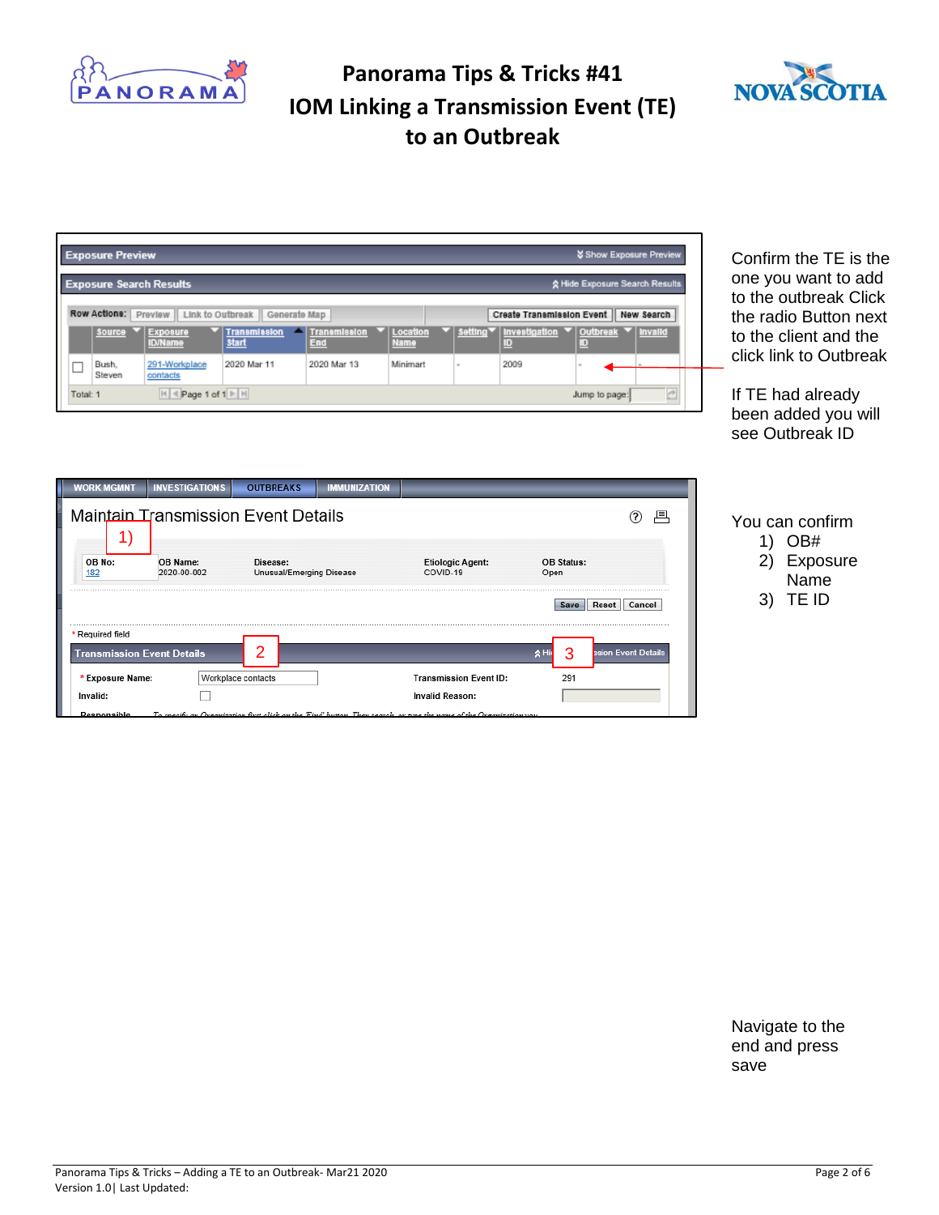



| <b>Exposure Preview</b><br><b>Exposure Search Results</b><br>Row Actions: Preview   Link to Outbreak<br>Generate Map                                                                                                                                   | <b>X Show Exposure Preview</b><br>☆ Hide Exposure Search Results<br>Create Transmission Event<br>New Search | Confirm the TE is the<br>one you want to add<br>to the outbreak Click<br>the radio Button next |
|--------------------------------------------------------------------------------------------------------------------------------------------------------------------------------------------------------------------------------------------------------|-------------------------------------------------------------------------------------------------------------|------------------------------------------------------------------------------------------------|
| setting <sup>*</sup><br><b>Exposure</b><br><b>Transmission</b><br>Location<br>Source<br><b>Transmission</b><br><b>Start</b><br>End<br><b>ID/Name</b><br>Name<br>2020 Mar 11<br>2020 Mar 13<br>Minimart<br>291-Workplace<br>Bush.<br>Steven<br>contacts | Investigation<br>Outbreak<br><b>Invalid</b><br>ID<br>ID<br>2009                                             | to the client and the<br>click link to Outbreak                                                |
| $H$ < Page 1 of 1 $\triangleright$ H<br>Total: 1                                                                                                                                                                                                       | Jump to page:                                                                                               | If TE had already<br>been added you will<br>see Outbreak ID                                    |
| <b>WORK MGMNT</b><br><b>OUTBREAKS</b><br><b>INVESTIGATIONS</b><br><b>IMMUNIZATION</b>                                                                                                                                                                  |                                                                                                             |                                                                                                |
| <b>Maintain Transmission Event Details</b><br>$\left( \begin{matrix} 1 \end{matrix} \right)$                                                                                                                                                           | ೧<br>具                                                                                                      | You can confirm<br>OB#<br>1)                                                                   |
| OB No:<br>OB Name:<br>Disease:<br><b>Etiologic Agent:</b><br>Unusual/Emerging Disease<br>2020-00-002<br>COVID-19<br>182                                                                                                                                | <b>OB Status:</b><br>Open                                                                                   | 2)<br>Exposure<br>Name                                                                         |
|                                                                                                                                                                                                                                                        | Reset<br>Cancel<br>Save                                                                                     | TE ID<br>3)                                                                                    |
| * Required field<br>2<br><b>Transmission Event Details</b>                                                                                                                                                                                             | ssion Event Details<br>A <sub>Hi</sub><br>3                                                                 |                                                                                                |
| * Exposure Name:<br>Workplace contacts<br><b>Transmission Event ID:</b>                                                                                                                                                                                | 291                                                                                                         |                                                                                                |
| <b>Invalid Reason:</b><br>Invalid:                                                                                                                                                                                                                     |                                                                                                             |                                                                                                |

Navigate to the end and press save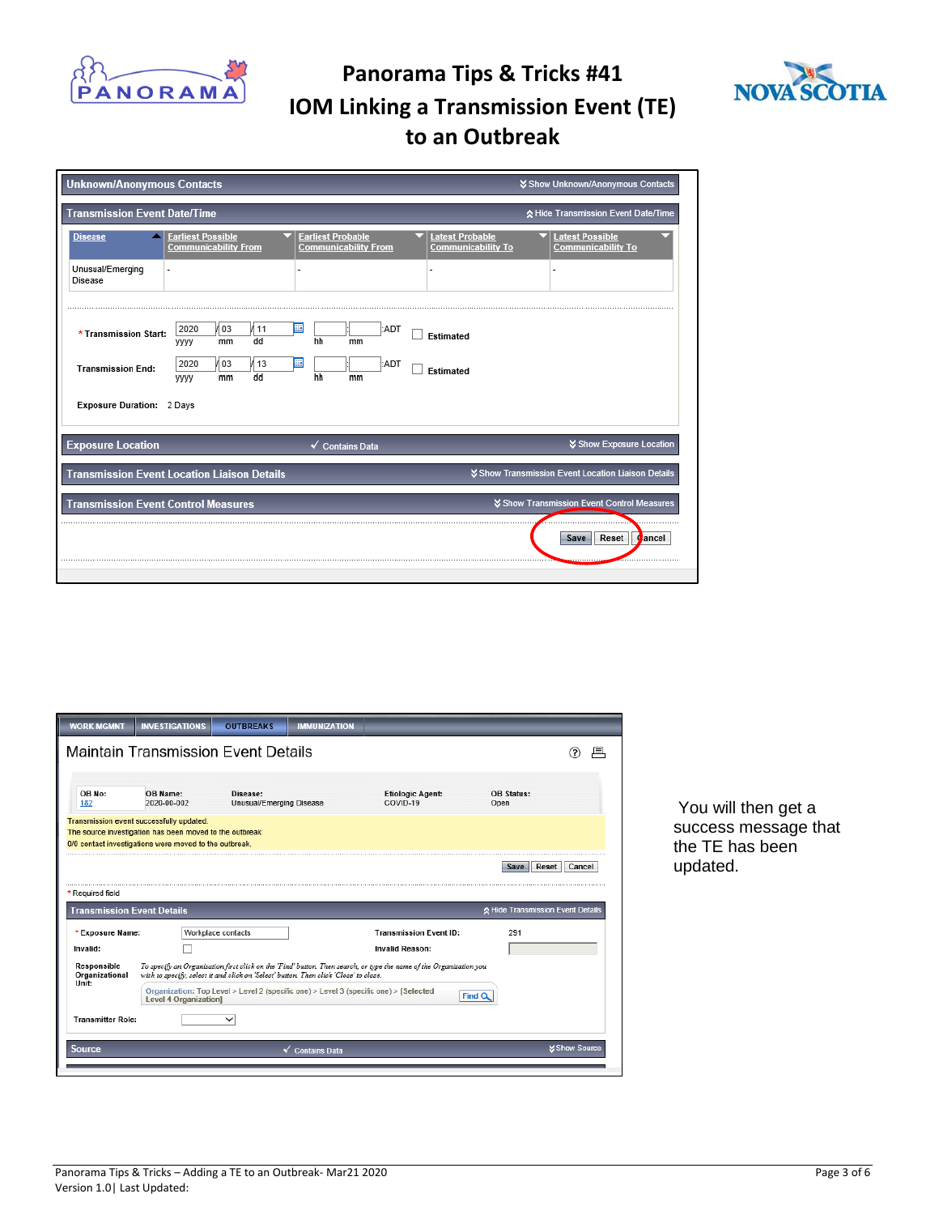



| <b>Unknown/Anonymous Contacts</b>          |                                                                                                                                                                           | Show Unknown/Anonymous Contacts                     |
|--------------------------------------------|---------------------------------------------------------------------------------------------------------------------------------------------------------------------------|-----------------------------------------------------|
| Transmission Event Date/Time               |                                                                                                                                                                           | ☆ Hide Transmission Event Date/Time                 |
| <b>Disease</b>                             | <b>Earliest Possible</b><br><b>Earliest Probable</b><br><b>Latest Probable</b><br><b>Communicability From</b><br><b>Communicability From</b><br><b>Communicability To</b> | <b>Latest Possible</b><br><b>Communicability To</b> |
| Unusual/Emerging<br>Disease                |                                                                                                                                                                           |                                                     |
| * Transmission Start:                      | 2020<br>И оз<br>:ADT<br>111<br>Ш<br>Estimated<br>hh<br>dd<br>mm<br>mm<br>yyyy                                                                                             |                                                     |
| <b>Transmission End:</b>                   | m<br>103<br>2020<br>13<br>:ADT<br>Estimated<br>dd<br>hh<br>mm<br>yyyy<br>mm                                                                                               |                                                     |
| Exposure Duration: 2 Days                  |                                                                                                                                                                           |                                                     |
| <b>Exposure Location</b>                   | $\checkmark$ Contains Data                                                                                                                                                | <b>☆ Show Exposure Location</b>                     |
|                                            | <b>Transmission Event Location Liaison Details</b>                                                                                                                        | Show Transmission Event Location Liaison Details    |
| <b>Transmission Event Control Measures</b> |                                                                                                                                                                           | <b>∀ Show Transmission Event Control Measures</b>   |
|                                            |                                                                                                                                                                           | Reset<br>ancel<br>Save                              |
|                                            |                                                                                                                                                                           |                                                     |

| <b>WORK MGMNT</b>                      | <b>INVESTIGATIONS</b>                                                                                                                                          | <b>OUTBREAKS</b>                     | <b>IMMUNIZATION</b>        |                                                                                                                    |                                   |                      |
|----------------------------------------|----------------------------------------------------------------------------------------------------------------------------------------------------------------|--------------------------------------|----------------------------|--------------------------------------------------------------------------------------------------------------------|-----------------------------------|----------------------|
|                                        | <b>Maintain Transmission Event Details</b>                                                                                                                     |                                      |                            |                                                                                                                    |                                   |                      |
|                                        |                                                                                                                                                                |                                      |                            |                                                                                                                    |                                   |                      |
| OB No:<br>182                          | OB Name:<br>2020-00-002                                                                                                                                        | Disease:<br>Unusual/Emerging Disease |                            | <b>Etiologic Agent:</b><br>COVID-19                                                                                | OB Status:<br>Open                |                      |
|                                        | Transmission event successfully updated.<br>The source investigation has been moved to the outbreak.<br>0/0 contact investigations were moved to the outbreak. |                                      |                            |                                                                                                                    |                                   |                      |
|                                        |                                                                                                                                                                |                                      |                            |                                                                                                                    | Reset<br>Save                     | Cancel               |
| * Required field                       |                                                                                                                                                                |                                      |                            |                                                                                                                    |                                   |                      |
| <b>Transmission Event Details</b>      |                                                                                                                                                                |                                      |                            |                                                                                                                    | ☆ Hide Transmission Event Details |                      |
| * Exposure Name:                       |                                                                                                                                                                | Workplace contacts                   |                            | <b>Transmission Event ID:</b>                                                                                      | 291                               |                      |
| Invalid:                               |                                                                                                                                                                |                                      |                            | <b>Invalid Reason:</b>                                                                                             |                                   |                      |
| Responsible<br>Organizational<br>Unit: | wish to specify, select it and click on 'Select' button. Then click 'Close' to close.                                                                          |                                      |                            | To specify an Organization first click on the 'Find' button. Then search, or type the name of the Organization you |                                   |                      |
|                                        | Level 4 Organization]                                                                                                                                          |                                      |                            | Organization: Top Level > Level 2 (specific one) > Level 3 (specific one) > [Selected]                             | Find Q                            |                      |
|                                        |                                                                                                                                                                |                                      |                            |                                                                                                                    |                                   |                      |
| <b>Transmitter Role:</b>               |                                                                                                                                                                |                                      |                            |                                                                                                                    |                                   |                      |
| Source                                 |                                                                                                                                                                |                                      | $\checkmark$ Contains Data |                                                                                                                    |                                   | <b>X Show Source</b> |

You will then get a success message that the TE has been updated.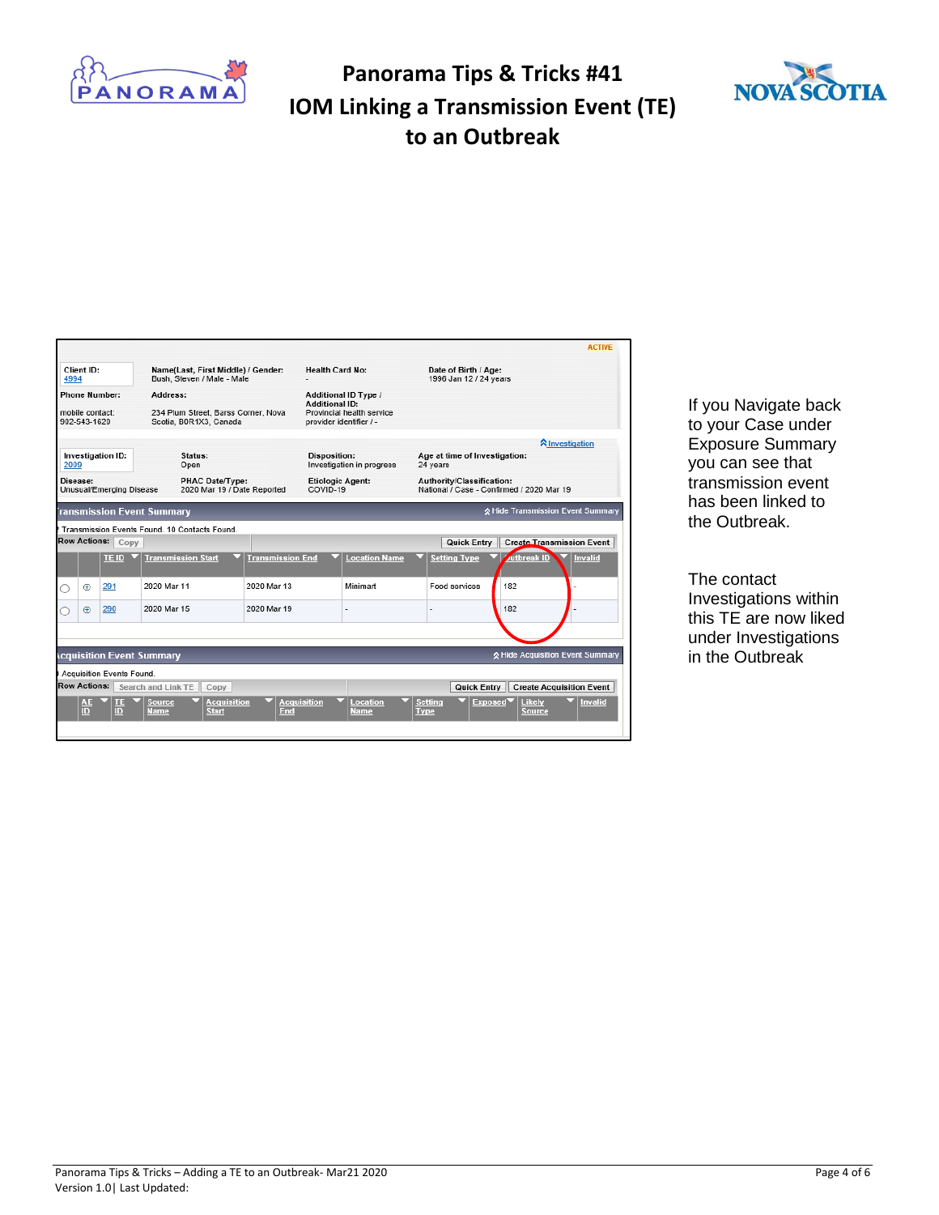

**ACTIVE** 



| Client ID:<br>Name(Last, First Middle) / Gender:<br>Bush, Steven / Male - Male<br>4994           |                             |                           |                                                                    |                                                                               | <b>Health Card No:</b>                           |                      |                               | Date of Birth / Age:<br>1996 Jan 12 / 24 years                         |                                           |  |  |
|--------------------------------------------------------------------------------------------------|-----------------------------|---------------------------|--------------------------------------------------------------------|-------------------------------------------------------------------------------|--------------------------------------------------|----------------------|-------------------------------|------------------------------------------------------------------------|-------------------------------------------|--|--|
| <b>Phone Number:</b><br>Address:                                                                 |                             |                           |                                                                    |                                                                               | Additional ID Type /                             |                      |                               |                                                                        |                                           |  |  |
| 234 Plum Street, Barss Corner, Nova<br>mobile contact:<br>902-543-1620<br>Scotia, B0R1X3, Canada |                             |                           |                                                                    | <b>Additional ID:</b><br>Provincial health service<br>provider identifier / - |                                                  |                      |                               |                                                                        |                                           |  |  |
|                                                                                                  |                             |                           |                                                                    |                                                                               |                                                  |                      |                               |                                                                        | <b>A</b> Investigation                    |  |  |
| Investigation ID:<br>Status:<br>2009<br>Open                                                     |                             |                           |                                                                    |                                                                               | <b>Disposition:</b><br>Investigation in progress |                      |                               | Age at time of Investigation:<br>24 years                              |                                           |  |  |
|                                                                                                  | Disease:                    | Unusual/Emerging Disease  | PHAC Date/Type:<br>2020 Mar 19 / Date Reported                     |                                                                               | <b>Etiologic Agent:</b><br>COVID-19              |                      |                               | Authority/Classification:<br>National / Case - Confirmed / 2020 Mar 19 |                                           |  |  |
|                                                                                                  |                             |                           | ransmission Event Summary                                          |                                                                               |                                                  |                      |                               |                                                                        | A Hide Transmission Event Summary         |  |  |
|                                                                                                  |                             |                           | Transmission Events Found, 10 Contacts Found.                      |                                                                               |                                                  |                      |                               |                                                                        |                                           |  |  |
|                                                                                                  |                             | Row Actions: Copy         |                                                                    |                                                                               |                                                  |                      |                               | Quick Entry                                                            | <b>Create Transmission Event</b>          |  |  |
|                                                                                                  |                             | TE ID                     | <b>Transmission Start</b>                                          | <b>Transmission End</b>                                                       |                                                  | <b>Location Name</b> |                               | <b>Setting Type</b>                                                    | <b>Authreak ID</b><br><b>Invalid</b>      |  |  |
|                                                                                                  | $^{\tiny{\textregistered}}$ | 291                       | 2020 Mar 11                                                        | 2020 Mar 13                                                                   |                                                  | Minimart             |                               | Food services                                                          | 182                                       |  |  |
|                                                                                                  | $\oplus$                    | 290                       | 2020 Mar 15                                                        | 2020 Mar 19                                                                   |                                                  |                      |                               |                                                                        | 182                                       |  |  |
|                                                                                                  |                             |                           |                                                                    |                                                                               |                                                  |                      |                               |                                                                        |                                           |  |  |
|                                                                                                  |                             |                           | cquisition Event Summary                                           |                                                                               |                                                  |                      |                               |                                                                        | ☆ Hide Acquisition Event Summary          |  |  |
|                                                                                                  |                             | Acquisition Events Found. |                                                                    |                                                                               |                                                  |                      |                               |                                                                        |                                           |  |  |
|                                                                                                  |                             |                           | Row Actions: Search and Link TE<br>Copy                            |                                                                               |                                                  |                      |                               | Quick Entry                                                            | <b>Create Acquisition Event</b>           |  |  |
|                                                                                                  | AE<br>ID                    | TE<br>ID                  | <b>Source</b><br><b>Acquisition</b><br><b>Name</b><br><b>Start</b> | End                                                                           | <b>Acquisition</b>                               | Location<br>Name     | <b>Setting</b><br><b>Type</b> | Exposed <sup>V</sup>                                                   | Likely<br><b>Invalid</b><br><b>Source</b> |  |  |

If you Navigate back to your Case under Exposure Summary you can see that transmission event has been linked to the Outbreak.

The contact Investigations within this TE are now liked under Investigations in the Outbreak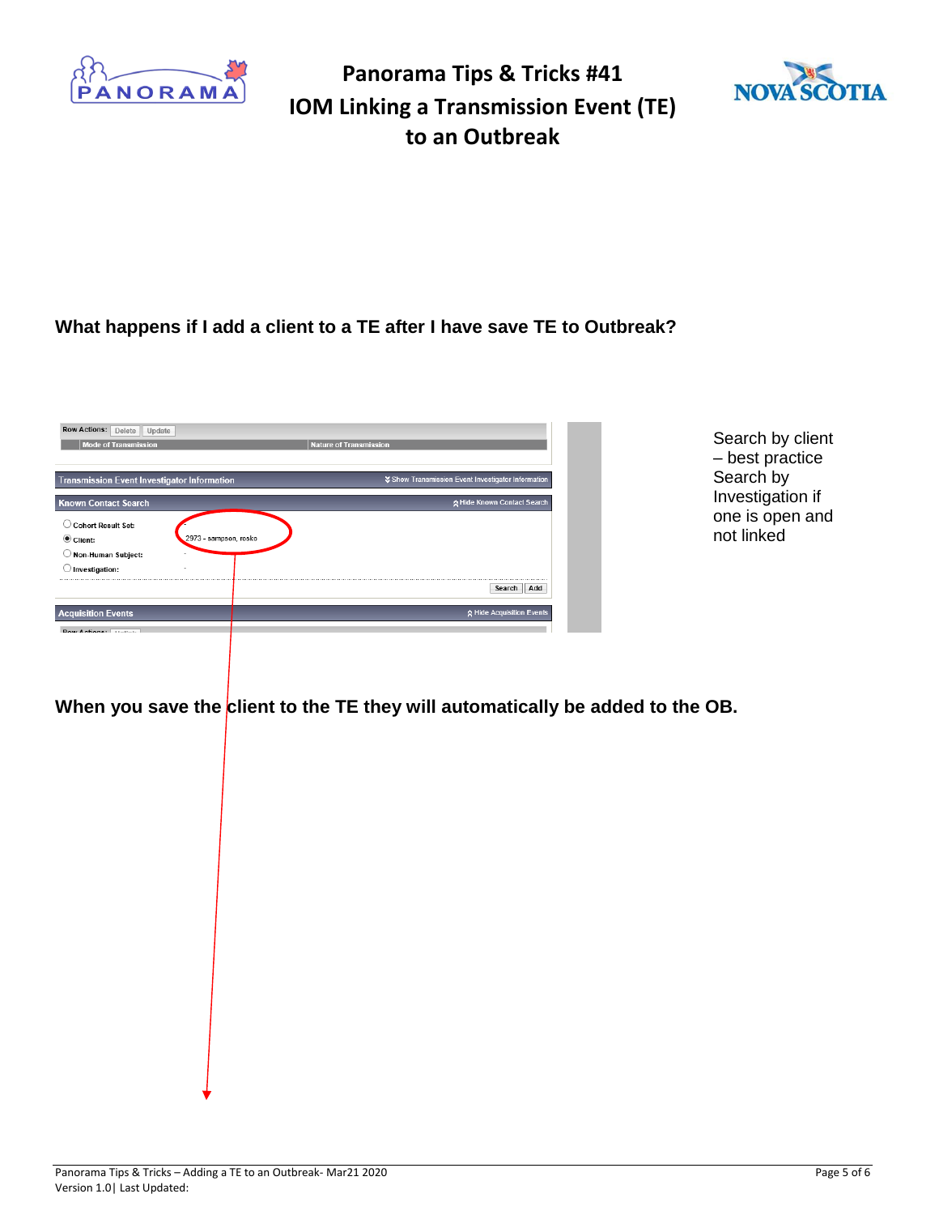



#### **What happens if I add a client to a TE after I have save TE to Outbreak?**

| <b>Transmission Event Investigator Information</b> | ↓ Show Transmission Event Investigator Information |
|----------------------------------------------------|----------------------------------------------------|
| <b>Known Contact Search</b>                        | ☆ Hide Known Contact Search                        |
| <b>Cohort Result Set:</b><br>2973 - sampson, rosko |                                                    |
| Non-Human Subject:<br>Investigation:               |                                                    |
|                                                    | Search<br>Add                                      |
| $\odot$ Client:<br><b>Acquisition Events</b>       | ☆ Hide Acquisition Events                          |

Search by client – best practice Search by Investigation if one is open and not linked

When you save the client to the TE they will automatically be added to the OB.